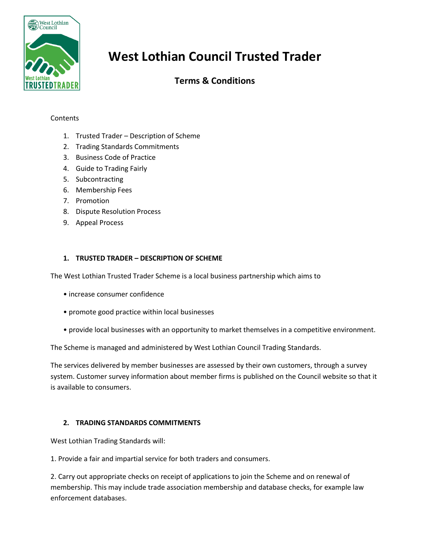

# **West Lothian Council Trusted Trader**

# **Terms & Conditions**

## **Contents**

- 1. Trusted Trader Description of Scheme
- 2. Trading Standards Commitments
- 3. Business Code of Practice
- 4. Guide to Trading Fairly
- 5. Subcontracting
- 6. Membership Fees
- 7. Promotion
- 8. Dispute Resolution Process
- 9. Appeal Process

## **1. TRUSTED TRADER – DESCRIPTION OF SCHEME**

The West Lothian Trusted Trader Scheme is a local business partnership which aims to

- increase consumer confidence
- promote good practice within local businesses
- provide local businesses with an opportunity to market themselves in a competitive environment.

The Scheme is managed and administered by West Lothian Council Trading Standards.

The services delivered by member businesses are assessed by their own customers, through a survey system. Customer survey information about member firms is published on the Council website so that it is available to consumers.

#### **2. TRADING STANDARDS COMMITMENTS**

West Lothian Trading Standards will:

1. Provide a fair and impartial service for both traders and consumers.

2. Carry out appropriate checks on receipt of applications to join the Scheme and on renewal of membership. This may include trade association membership and database checks, for example law enforcement databases.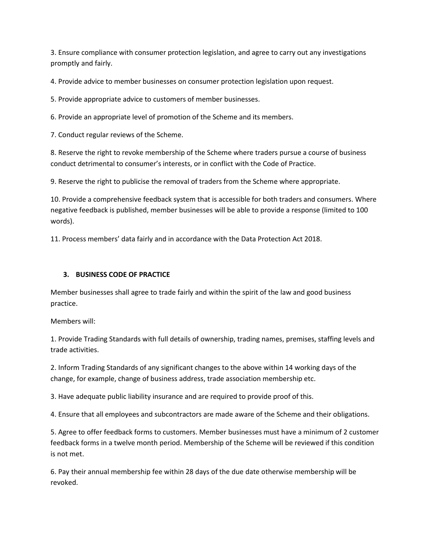3. Ensure compliance with consumer protection legislation, and agree to carry out any investigations promptly and fairly.

4. Provide advice to member businesses on consumer protection legislation upon request.

5. Provide appropriate advice to customers of member businesses.

6. Provide an appropriate level of promotion of the Scheme and its members.

7. Conduct regular reviews of the Scheme.

8. Reserve the right to revoke membership of the Scheme where traders pursue a course of business conduct detrimental to consumer's interests, or in conflict with the Code of Practice.

9. Reserve the right to publicise the removal of traders from the Scheme where appropriate.

10. Provide a comprehensive feedback system that is accessible for both traders and consumers. Where negative feedback is published, member businesses will be able to provide a response (limited to 100 words).

11. Process members' data fairly and in accordance with the Data Protection Act 2018.

#### **3. BUSINESS CODE OF PRACTICE**

Member businesses shall agree to trade fairly and within the spirit of the law and good business practice.

Members will:

1. Provide Trading Standards with full details of ownership, trading names, premises, staffing levels and trade activities.

2. Inform Trading Standards of any significant changes to the above within 14 working days of the change, for example, change of business address, trade association membership etc.

3. Have adequate public liability insurance and are required to provide proof of this.

4. Ensure that all employees and subcontractors are made aware of the Scheme and their obligations.

5. Agree to offer feedback forms to customers. Member businesses must have a minimum of 2 customer feedback forms in a twelve month period. Membership of the Scheme will be reviewed if this condition is not met.

6. Pay their annual membership fee within 28 days of the due date otherwise membership will be revoked.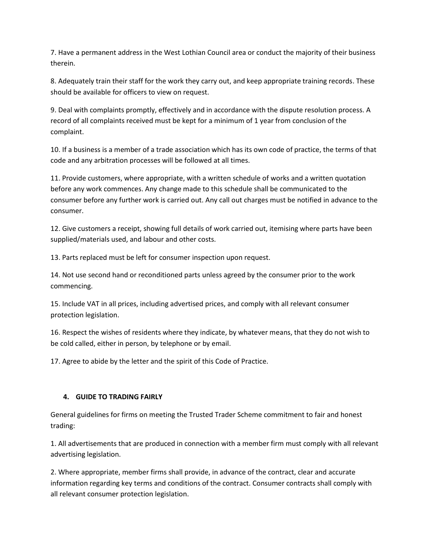7. Have a permanent address in the West Lothian Council area or conduct the majority of their business therein.

8. Adequately train their staff for the work they carry out, and keep appropriate training records. These should be available for officers to view on request.

9. Deal with complaints promptly, effectively and in accordance with the dispute resolution process. A record of all complaints received must be kept for a minimum of 1 year from conclusion of the complaint.

10. If a business is a member of a trade association which has its own code of practice, the terms of that code and any arbitration processes will be followed at all times.

11. Provide customers, where appropriate, with a written schedule of works and a written quotation before any work commences. Any change made to this schedule shall be communicated to the consumer before any further work is carried out. Any call out charges must be notified in advance to the consumer.

12. Give customers a receipt, showing full details of work carried out, itemising where parts have been supplied/materials used, and labour and other costs.

13. Parts replaced must be left for consumer inspection upon request.

14. Not use second hand or reconditioned parts unless agreed by the consumer prior to the work commencing.

15. Include VAT in all prices, including advertised prices, and comply with all relevant consumer protection legislation.

16. Respect the wishes of residents where they indicate, by whatever means, that they do not wish to be cold called, either in person, by telephone or by email.

17. Agree to abide by the letter and the spirit of this Code of Practice.

# **4. GUIDE TO TRADING FAIRLY**

General guidelines for firms on meeting the Trusted Trader Scheme commitment to fair and honest trading:

1. All advertisements that are produced in connection with a member firm must comply with all relevant advertising legislation.

2. Where appropriate, member firms shall provide, in advance of the contract, clear and accurate information regarding key terms and conditions of the contract. Consumer contracts shall comply with all relevant consumer protection legislation.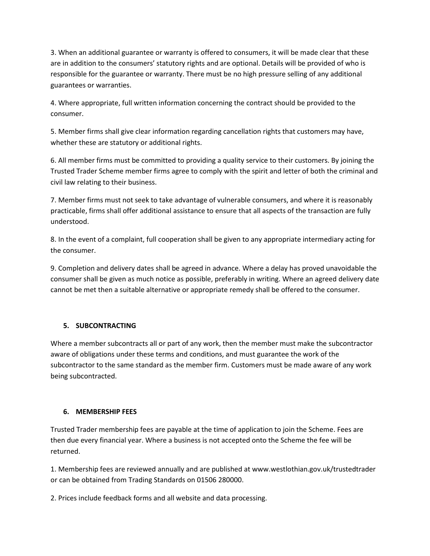3. When an additional guarantee or warranty is offered to consumers, it will be made clear that these are in addition to the consumers' statutory rights and are optional. Details will be provided of who is responsible for the guarantee or warranty. There must be no high pressure selling of any additional guarantees or warranties.

4. Where appropriate, full written information concerning the contract should be provided to the consumer.

5. Member firms shall give clear information regarding cancellation rights that customers may have, whether these are statutory or additional rights.

6. All member firms must be committed to providing a quality service to their customers. By joining the Trusted Trader Scheme member firms agree to comply with the spirit and letter of both the criminal and civil law relating to their business.

7. Member firms must not seek to take advantage of vulnerable consumers, and where it is reasonably practicable, firms shall offer additional assistance to ensure that all aspects of the transaction are fully understood.

8. In the event of a complaint, full cooperation shall be given to any appropriate intermediary acting for the consumer.

9. Completion and delivery dates shall be agreed in advance. Where a delay has proved unavoidable the consumer shall be given as much notice as possible, preferably in writing. Where an agreed delivery date cannot be met then a suitable alternative or appropriate remedy shall be offered to the consumer.

# **5. SUBCONTRACTING**

Where a member subcontracts all or part of any work, then the member must make the subcontractor aware of obligations under these terms and conditions, and must guarantee the work of the subcontractor to the same standard as the member firm. Customers must be made aware of any work being subcontracted.

#### **6. MEMBERSHIP FEES**

Trusted Trader membership fees are payable at the time of application to join the Scheme. Fees are then due every financial year. Where a business is not accepted onto the Scheme the fee will be returned.

1. Membership fees are reviewed annually and are published at www.westlothian.gov.uk/trustedtrader or can be obtained from Trading Standards on 01506 280000.

2. Prices include feedback forms and all website and data processing.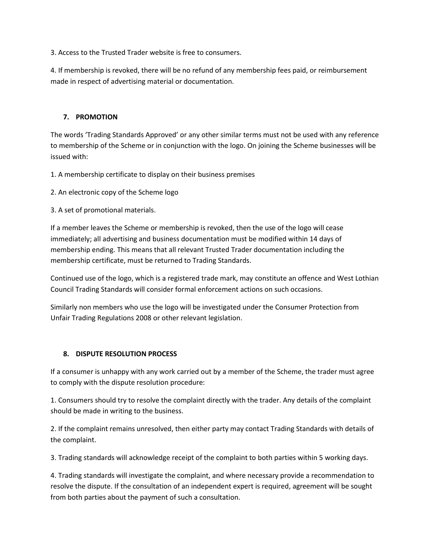3. Access to the Trusted Trader website is free to consumers.

4. If membership is revoked, there will be no refund of any membership fees paid, or reimbursement made in respect of advertising material or documentation.

# **7. PROMOTION**

The words 'Trading Standards Approved' or any other similar terms must not be used with any reference to membership of the Scheme or in conjunction with the logo. On joining the Scheme businesses will be issued with:

1. A membership certificate to display on their business premises

2. An electronic copy of the Scheme logo

3. A set of promotional materials.

If a member leaves the Scheme or membership is revoked, then the use of the logo will cease immediately; all advertising and business documentation must be modified within 14 days of membership ending. This means that all relevant Trusted Trader documentation including the membership certificate, must be returned to Trading Standards.

Continued use of the logo, which is a registered trade mark, may constitute an offence and West Lothian Council Trading Standards will consider formal enforcement actions on such occasions.

Similarly non members who use the logo will be investigated under the Consumer Protection from Unfair Trading Regulations 2008 or other relevant legislation.

# **8. DISPUTE RESOLUTION PROCESS**

If a consumer is unhappy with any work carried out by a member of the Scheme, the trader must agree to comply with the dispute resolution procedure:

1. Consumers should try to resolve the complaint directly with the trader. Any details of the complaint should be made in writing to the business.

2. If the complaint remains unresolved, then either party may contact Trading Standards with details of the complaint.

3. Trading standards will acknowledge receipt of the complaint to both parties within 5 working days.

4. Trading standards will investigate the complaint, and where necessary provide a recommendation to resolve the dispute. If the consultation of an independent expert is required, agreement will be sought from both parties about the payment of such a consultation.